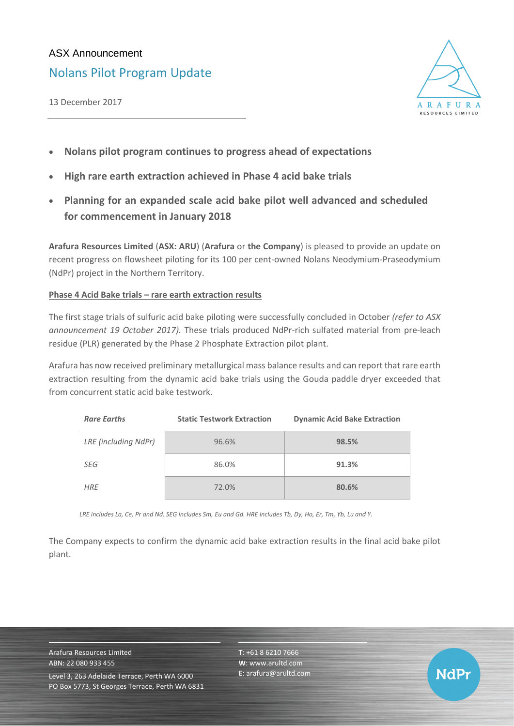# ASX Announcement

Nolans Pilot Program Update

13 December 2017



NdPr

- **Nolans pilot program continues to progress ahead of expectations**
- **High rare earth extraction achieved in Phase 4 acid bake trials**
- **Planning for an expanded scale acid bake pilot well advanced and scheduled for commencement in January 2018**

**Arafura Resources Limited** (**ASX: ARU**) (**Arafura** or **the Company**) is pleased to provide an update on recent progress on flowsheet piloting for its 100 per cent-owned Nolans Neodymium-Praseodymium (NdPr) project in the Northern Territory.

## **Phase 4 Acid Bake trials – rare earth extraction results**

The first stage trials of sulfuric acid bake piloting were successfully concluded in October *(refer to ASX announcement 19 October 2017).* These trials produced NdPr-rich sulfated material from pre-leach residue (PLR) generated by the Phase 2 Phosphate Extraction pilot plant.

Arafura has now received preliminary metallurgical mass balance results and can report that rare earth extraction resulting from the dynamic acid bake trials using the Gouda paddle dryer exceeded that from concurrent static acid bake testwork.

| <b>Rare Earths</b>   | <b>Static Testwork Extraction</b> | <b>Dynamic Acid Bake Extraction</b> |
|----------------------|-----------------------------------|-------------------------------------|
| LRE (including NdPr) | 96.6%                             | 98.5%                               |
| SEG                  | 86.0%                             | 91.3%                               |
| <b>HRE</b>           | 72.0%                             | 80.6%                               |

*LRE includes La, Ce, Pr and Nd. SEG includes Sm, Eu and Gd. HRE includes Tb, Dy, Ho, Er, Tm, Yb, Lu and Y.*

The Company expects to confirm the dynamic acid bake extraction results in the final acid bake pilot plant.

Arafura Resources Limited ABN: 22 080 933 455 Level 3, 263 Adelaide Terrace, Perth WA 6000 PO Box 5773, St Georges Terrace, Perth WA 6831 **T**: +61 8 6210 7666 **W**: [www.arultd.com](http://www.arultd.com/) **E**[: arafura@arultd.com](mailto:arafura@arultd.com)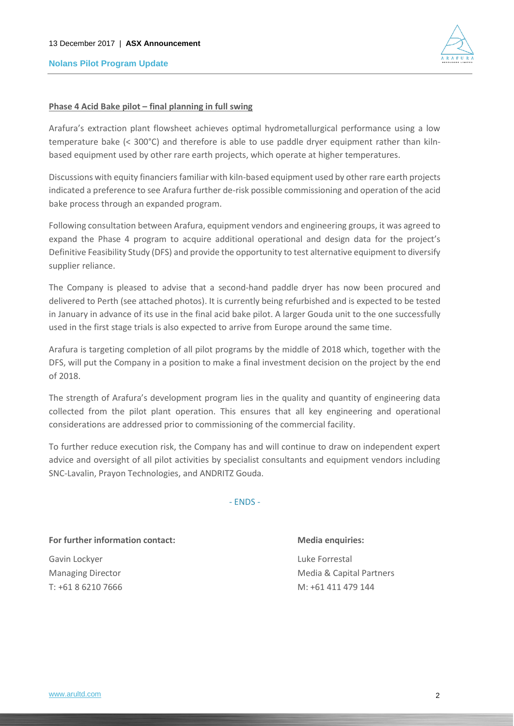### **Nolans Pilot Program Update**



### **Phase 4 Acid Bake pilot – final planning in full swing**

Arafura's extraction plant flowsheet achieves optimal hydrometallurgical performance using a low temperature bake (< 300°C) and therefore is able to use paddle dryer equipment rather than kilnbased equipment used by other rare earth projects, which operate at higher temperatures.

Discussions with equity financiers familiar with kiln-based equipment used by other rare earth projects indicated a preference to see Arafura further de-risk possible commissioning and operation of the acid bake process through an expanded program.

Following consultation between Arafura, equipment vendors and engineering groups, it was agreed to expand the Phase 4 program to acquire additional operational and design data for the project's Definitive Feasibility Study (DFS) and provide the opportunity to test alternative equipment to diversify supplier reliance.

The Company is pleased to advise that a second-hand paddle dryer has now been procured and delivered to Perth (see attached photos). It is currently being refurbished and is expected to be tested in January in advance of its use in the final acid bake pilot. A larger Gouda unit to the one successfully used in the first stage trials is also expected to arrive from Europe around the same time.

Arafura is targeting completion of all pilot programs by the middle of 2018 which, together with the DFS, will put the Company in a position to make a final investment decision on the project by the end of 2018.

The strength of Arafura's development program lies in the quality and quantity of engineering data collected from the pilot plant operation. This ensures that all key engineering and operational considerations are addressed prior to commissioning of the commercial facility.

To further reduce execution risk, the Company has and will continue to draw on independent expert advice and oversight of all pilot activities by specialist consultants and equipment vendors including SNC-Lavalin, Prayon Technologies, and ANDRITZ Gouda.

- ENDS -

#### **For further information contact: Media enquiries:**

Gavin Lockyer **Luke Forrestal** 

Managing Director Media & Capital Partners T: +61 8 6210 7666 M: +61 411 479 144